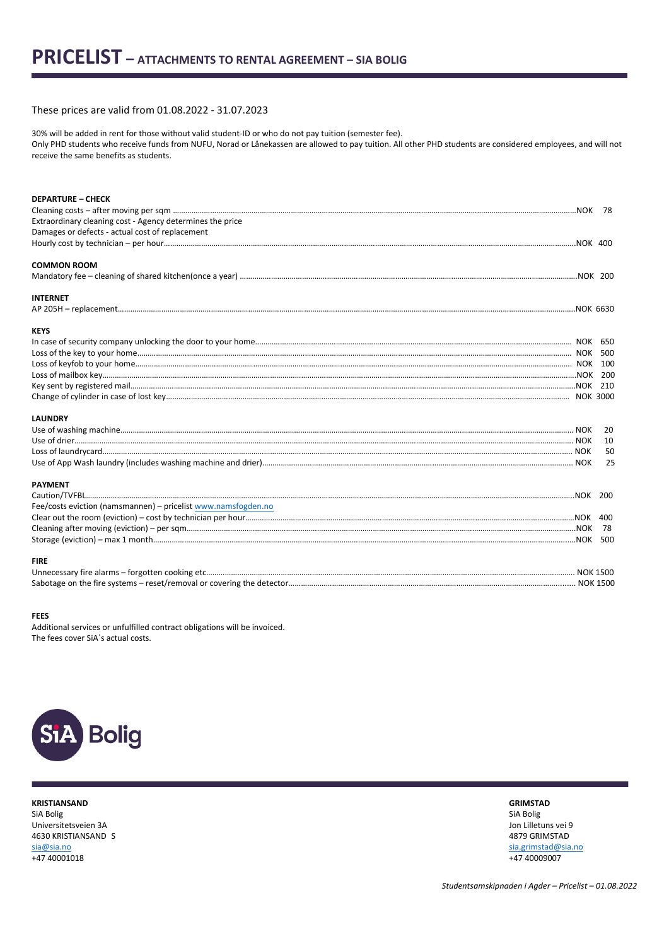## These prices are valid from 01.08.2022 - 31.07.2023

30% will be added in rent for those without valid student-ID or who do not pay tuition (semester fee). Only PHD students who receive funds from NUFU, Norad or Lånekassen are allowed to pay tuition. All other PHD students are considered employees, and will not receive the same benefits as students.

| <b>DEPARTURE - CHECK</b><br>Extraordinary cleaning cost - Agency determines the price<br>Damages or defects - actual cost of replacement |    |
|------------------------------------------------------------------------------------------------------------------------------------------|----|
|                                                                                                                                          |    |
| <b>COMMON ROOM</b>                                                                                                                       |    |
|                                                                                                                                          |    |
| <b>INTERNET</b>                                                                                                                          |    |
|                                                                                                                                          |    |
| <b>KEYS</b>                                                                                                                              |    |
|                                                                                                                                          |    |
|                                                                                                                                          |    |
|                                                                                                                                          |    |
|                                                                                                                                          |    |
|                                                                                                                                          |    |
|                                                                                                                                          |    |
| <b>LAUNDRY</b>                                                                                                                           |    |
|                                                                                                                                          |    |
|                                                                                                                                          | 10 |
|                                                                                                                                          | 50 |
|                                                                                                                                          | 25 |
| <b>PAYMENT</b>                                                                                                                           |    |
|                                                                                                                                          |    |
| Fee/costs eviction (namsmannen) – pricelist www.namsfogden.no                                                                            |    |
|                                                                                                                                          |    |
|                                                                                                                                          |    |
|                                                                                                                                          |    |
| <b>FIRE</b>                                                                                                                              |    |
|                                                                                                                                          |    |
|                                                                                                                                          |    |
|                                                                                                                                          |    |

## **FEES**

Additional services or unfulfilled contract obligations will be invoiced. The fees cover SiA`s actual costs.



**KRISTIANSAND GRIMSTAD** SiA Bolig SiA Bolig Universitetsveien 3A Jon Lilletuns vei 9 4630 KRISTIANSAND S [sia@sia.no](mailto:sia@sia.no) [sia.grimstad@sia.no](mailto:sia.grimstad@sia.no) +47 40001018 +47 40009007

*Studentsamskipnaden i Agder – Pricelist – 01.08.2022*